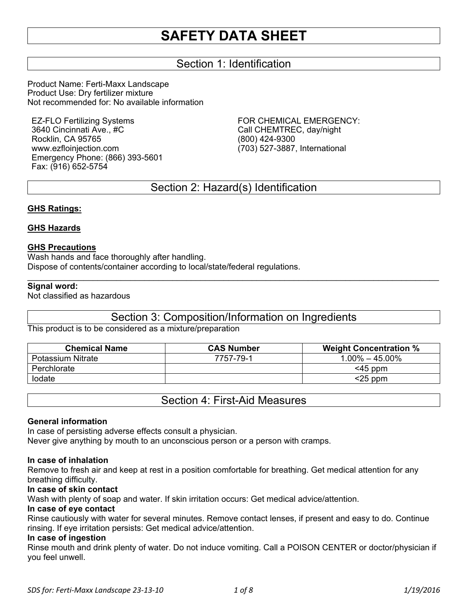### Section 1: Identification

Product Name: Ferti-Maxx Landscape Product Use: Dry fertilizer mixture Not recommended for: No available information

EZ-FLO Fertilizing Systems 3640 Cincinnati Ave., #C Rocklin, CA 95765 www.ezfloinjection.com Emergency Phone: (866) 393-5601 Fax: (916) 652-5754

FOR CHEMICAL EMERGENCY: Call CHEMTREC, day/night (800) 424-9300 (703) 527-3887, International

### Section 2: Hazard(s) Identification

#### **GHS Ratings:**

#### **GHS Hazards**

#### **GHS Precautions**

Wash hands and face thoroughly after handling. Dispose of contents/container according to local/state/federal regulations.

#### **Signal word:**

Not classified as hazardous

### Section 3: Composition/Information on Ingredients

 $\mathcal{L}_\mathcal{L} = \mathcal{L}_\mathcal{L} = \mathcal{L}_\mathcal{L} = \mathcal{L}_\mathcal{L} = \mathcal{L}_\mathcal{L} = \mathcal{L}_\mathcal{L} = \mathcal{L}_\mathcal{L} = \mathcal{L}_\mathcal{L} = \mathcal{L}_\mathcal{L} = \mathcal{L}_\mathcal{L} = \mathcal{L}_\mathcal{L} = \mathcal{L}_\mathcal{L} = \mathcal{L}_\mathcal{L} = \mathcal{L}_\mathcal{L} = \mathcal{L}_\mathcal{L} = \mathcal{L}_\mathcal{L} = \mathcal{L}_\mathcal{L}$ 

This product is to be considered as a mixture/preparation

| <b>Chemical Name</b> | <b>CAS Number</b> | <b>Weight Concentration %</b> |
|----------------------|-------------------|-------------------------------|
| Potassium Nitrate    | 7757-79-1         | $1.00\% - 45.00\%$            |
| Perchlorate          |                   | $<$ 45 ppm                    |
| lodate               |                   | $<$ 25 ppm                    |

Section 4: First-Aid Measures

#### **General information**

In case of persisting adverse effects consult a physician.

Never give anything by mouth to an unconscious person or a person with cramps.

#### **In case of inhalation**

Remove to fresh air and keep at rest in a position comfortable for breathing. Get medical attention for any breathing difficulty.

#### **In case of skin contact**

Wash with plenty of soap and water. If skin irritation occurs: Get medical advice/attention.

#### **In case of eye contact**

Rinse cautiously with water for several minutes. Remove contact lenses, if present and easy to do. Continue rinsing. If eye irritation persists: Get medical advice/attention.

#### **In case of ingestion**

Rinse mouth and drink plenty of water. Do not induce vomiting. Call a POISON CENTER or doctor/physician if you feel unwell.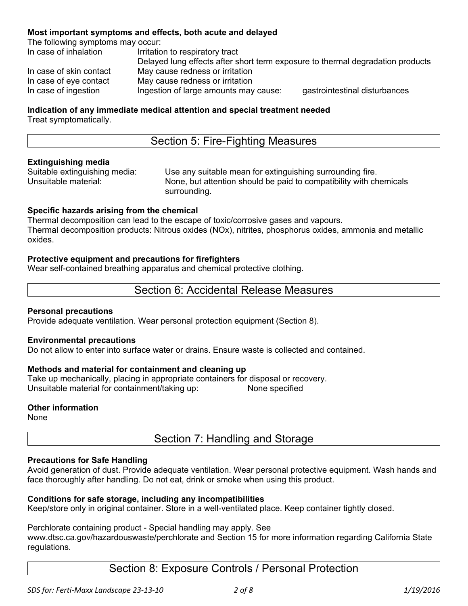#### **Most important symptoms and effects, both acute and delayed**

The following symptoms may occur:

| In case of inhalation   | Irritation to respiratory tract                                                |                               |
|-------------------------|--------------------------------------------------------------------------------|-------------------------------|
|                         | Delayed lung effects after short term exposure to thermal degradation products |                               |
| In case of skin contact | May cause redness or irritation                                                |                               |
| In case of eye contact  | May cause redness or irritation                                                |                               |
| In case of ingestion    | Ingestion of large amounts may cause:                                          | gastrointestinal disturbances |

#### **Indication of any immediate medical attention and special treatment needed**  Treat symptomatically.

### Section 5: Fire-Fighting Measures

#### **Extinguishing media**

Suitable extinguishing media: Use any suitable mean for extinguishing surrounding fire.<br>Unsuitable material: Unsuitable naterion should be paid to compatibility with ch None, but attention should be paid to compatibility with chemicals surrounding.

#### **Specific hazards arising from the chemical**

Thermal decomposition can lead to the escape of toxic/corrosive gases and vapours. Thermal decomposition products: Nitrous oxides (NOx), nitrites, phosphorus oxides, ammonia and metallic oxides.

#### **Protective equipment and precautions for firefighters**

Wear self-contained breathing apparatus and chemical protective clothing.

### Section 6: Accidental Release Measures

#### **Personal precautions**

Provide adequate ventilation. Wear personal protection equipment (Section 8).

#### **Environmental precautions**

Do not allow to enter into surface water or drains. Ensure waste is collected and contained.

#### **Methods and material for containment and cleaning up**

Take up mechanically, placing in appropriate containers for disposal or recovery. Unsuitable material for containment/taking up: None specified

#### **Other information**

None

## Section 7: Handling and Storage

#### **Precautions for Safe Handling**

Avoid generation of dust. Provide adequate ventilation. Wear personal protective equipment. Wash hands and face thoroughly after handling. Do not eat, drink or smoke when using this product.

#### **Conditions for safe storage, including any incompatibilities**

Keep/store only in original container. Store in a well-ventilated place. Keep container tightly closed.

Perchlorate containing product - Special handling may apply. See

www.dtsc.ca.gov/hazardouswaste/perchlorate and Section 15 for more information regarding California State regulations.

### Section 8: Exposure Controls / Personal Protection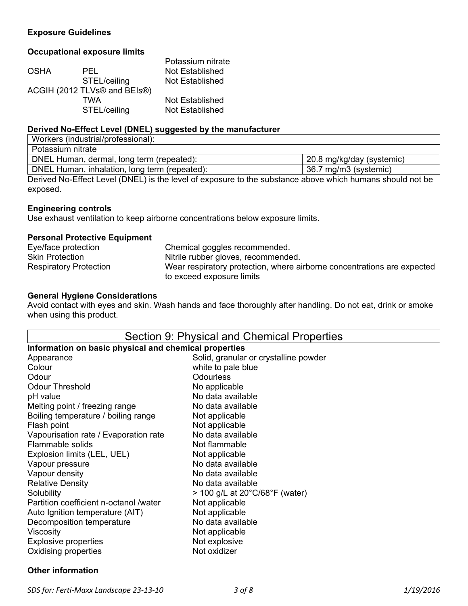#### **Exposure Guidelines**

#### **Occupational exposure limits**

|              | Potassium nitrate            |
|--------------|------------------------------|
| PEL          | Not Established              |
| STEL/ceiling | Not Established              |
|              |                              |
| TWA          | Not Established              |
| STEL/ceiling | Not Established              |
|              | ACGIH (2012 TLVs® and BEIs®) |

#### **Derived No-Effect Level (DNEL) suggested by the manufacturer**

| Workers (industrial/professional):            |                           |
|-----------------------------------------------|---------------------------|
| Potassium nitrate                             |                           |
| DNEL Human, dermal, long term (repeated):     | 20.8 mg/kg/day (systemic) |
| DNEL Human, inhalation, long term (repeated): | 36.7 mg/m3 (systemic)     |

Derived No-Effect Level (DNEL) is the level of exposure to the substance above which humans should not be exposed.

#### **Engineering controls**

Use exhaust ventilation to keep airborne concentrations below exposure limits.

#### **Personal Protective Equipment**

| Eye/face protection           | Chemical goggles recommended.                                           |
|-------------------------------|-------------------------------------------------------------------------|
| <b>Skin Protection</b>        | Nitrile rubber gloves, recommended.                                     |
| <b>Respiratory Protection</b> | Wear respiratory protection, where airborne concentrations are expected |
|                               | to exceed exposure limits                                               |

#### **General Hygiene Considerations**

Avoid contact with eyes and skin. Wash hands and face thoroughly after handling. Do not eat, drink or smoke when using this product.

| Section 9: Physical and Chemical Properties                          |                                       |  |  |
|----------------------------------------------------------------------|---------------------------------------|--|--|
| Information on basic physical and chemical properties                |                                       |  |  |
| Appearance                                                           | Solid, granular or crystalline powder |  |  |
| Colour                                                               | white to pale blue                    |  |  |
| Odour                                                                | <b>Odourless</b>                      |  |  |
| <b>Odour Threshold</b>                                               | No applicable                         |  |  |
| pH value                                                             | No data available                     |  |  |
| Melting point / freezing range                                       | No data available                     |  |  |
| Boiling temperature / boiling range                                  | Not applicable                        |  |  |
| Flash point                                                          | Not applicable                        |  |  |
| Vapourisation rate / Evaporation rate                                | No data available                     |  |  |
| Flammable solids                                                     | Not flammable                         |  |  |
| Explosion limits (LEL, UEL)                                          | Not applicable                        |  |  |
| No data available<br>Vapour pressure                                 |                                       |  |  |
| Vapour density<br>No data available                                  |                                       |  |  |
| <b>Relative Density</b><br>No data available                         |                                       |  |  |
| Solubility<br>$>$ 100 g/L at 20 $^{\circ}$ C/68 $^{\circ}$ F (water) |                                       |  |  |
| Partition coefficient n-octanol /water                               | Not applicable                        |  |  |
| Auto Ignition temperature (AIT)                                      | Not applicable                        |  |  |
| Decomposition temperature                                            | No data available                     |  |  |
| Viscosity                                                            | Not applicable                        |  |  |
| <b>Explosive properties</b>                                          | Not explosive                         |  |  |
| Not oxidizer<br>Oxidising properties                                 |                                       |  |  |

#### **Other information**

 $\overline{\phantom{a}}$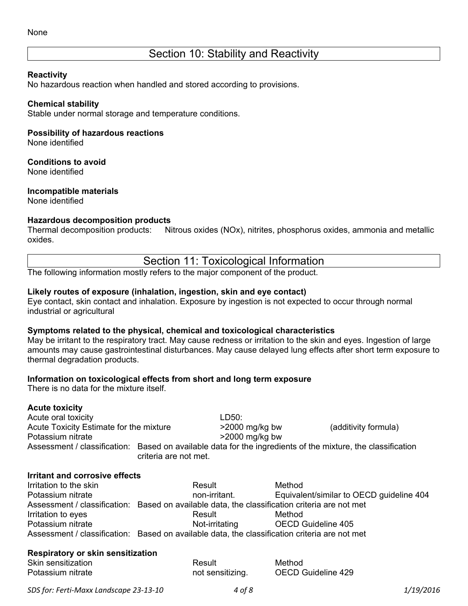### Section 10: Stability and Reactivity

#### **Reactivity**

No hazardous reaction when handled and stored according to provisions.

#### **Chemical stability**

Stable under normal storage and temperature conditions.

#### **Possibility of hazardous reactions**

None identified

#### **Conditions to avoid**

None identified

#### **Incompatible materials**

None identified

#### **Hazardous decomposition products**

Thermal decomposition products: Nitrous oxides (NOx), nitrites, phosphorus oxides, ammonia and metallic oxides.

Section 11: Toxicological Information

The following information mostly refers to the major component of the product.

#### **Likely routes of exposure (inhalation, ingestion, skin and eye contact)**

Eye contact, skin contact and inhalation. Exposure by ingestion is not expected to occur through normal industrial or agricultural

#### **Symptoms related to the physical, chemical and toxicological characteristics**

May be irritant to the respiratory tract. May cause redness or irritation to the skin and eyes. Ingestion of large amounts may cause gastrointestinal disturbances. May cause delayed lung effects after short term exposure to thermal degradation products.

#### **Information on toxicological effects from short and long term exposure**

There is no data for the mixture itself.

#### **Acute toxicity**

Acute oral toxicity and the set of the LD50: Acute Toxicity Estimate for the mixture >2000 mg/kg bw (additivity formula) Potassium nitrate  $>2000$  mg/kg bw Assessment / classification: Based on available data for the ingredients of the mixture, the classification criteria are not met.

### **Irritant and corrosive effects**

| Irritation to the skin | Result                                                                                        | Method                                   |
|------------------------|-----------------------------------------------------------------------------------------------|------------------------------------------|
| Potassium nitrate      | non-irritant.                                                                                 | Equivalent/similar to OECD guideline 404 |
|                        | Assessment / classification: Based on available data, the classification criteria are not met |                                          |
| Irritation to eyes     | Result                                                                                        | Method                                   |
| Potassium nitrate      | Not-irritating                                                                                | OECD Guideline 405                       |
|                        | Assessment / classification: Based on available data, the classification criteria are not met |                                          |

#### **Respiratory or skin sensitization**

| Skin sensitization | Result           | Method             |
|--------------------|------------------|--------------------|
| Potassium nitrate  | not sensitizing. | OECD Guideline 429 |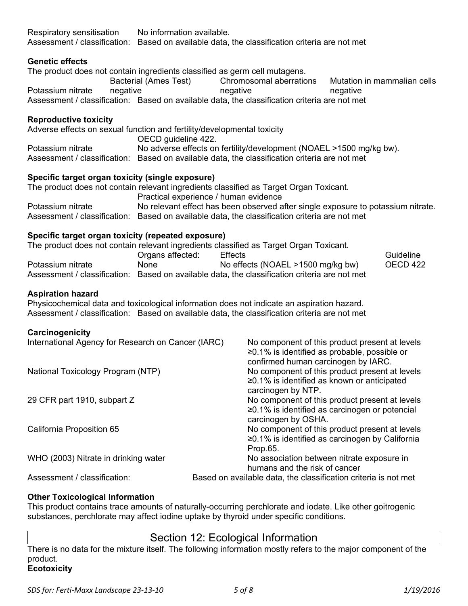| Assessment / classification: Based on available data, the classification criteria are not met                       |                                                                                                                                                      |                                                                                               |          |                              |
|---------------------------------------------------------------------------------------------------------------------|------------------------------------------------------------------------------------------------------------------------------------------------------|-----------------------------------------------------------------------------------------------|----------|------------------------------|
| <b>Genetic effects</b>                                                                                              |                                                                                                                                                      |                                                                                               |          |                              |
| The product does not contain ingredients classified as germ cell mutagens.                                          | Bacterial (Ames Test)                                                                                                                                | Chromosomal aberrations                                                                       |          | Mutation in mammalian cells  |
| Potassium nitrate<br>negative                                                                                       | negative                                                                                                                                             |                                                                                               | negative |                              |
| Assessment / classification: Based on available data, the classification criteria are not met                       |                                                                                                                                                      |                                                                                               |          |                              |
| <b>Reproductive toxicity</b>                                                                                        |                                                                                                                                                      |                                                                                               |          |                              |
| Adverse effects on sexual function and fertility/developmental toxicity                                             |                                                                                                                                                      |                                                                                               |          |                              |
|                                                                                                                     | OECD guideline 422.                                                                                                                                  |                                                                                               |          |                              |
| Potassium nitrate                                                                                                   | No adverse effects on fertility/development (NOAEL >1500 mg/kg bw).                                                                                  |                                                                                               |          |                              |
| Assessment / classification: Based on available data, the classification criteria are not met                       |                                                                                                                                                      |                                                                                               |          |                              |
| Specific target organ toxicity (single exposure)                                                                    |                                                                                                                                                      |                                                                                               |          |                              |
| The product does not contain relevant ingredients classified as Target Organ Toxicant.                              |                                                                                                                                                      |                                                                                               |          |                              |
| Potassium nitrate                                                                                                   | Practical experience / human evidence<br>No relevant effect has been observed after single exposure to potassium nitrate.                            |                                                                                               |          |                              |
| Assessment / classification: Based on available data, the classification criteria are not met                       |                                                                                                                                                      |                                                                                               |          |                              |
|                                                                                                                     |                                                                                                                                                      |                                                                                               |          |                              |
| Specific target organ toxicity (repeated exposure)                                                                  |                                                                                                                                                      |                                                                                               |          |                              |
| The product does not contain relevant ingredients classified as Target Organ Toxicant.                              |                                                                                                                                                      |                                                                                               |          |                              |
| Potassium nitrate                                                                                                   | Organs affected:<br><b>Effects</b><br>None that the state of the state of the state of the state of the state of the state of the state of the state |                                                                                               |          | Guideline<br><b>OECD 422</b> |
| Assessment / classification: Based on available data, the classification criteria are not met                       |                                                                                                                                                      | No effects (NOAEL >1500 mg/kg bw)                                                             |          |                              |
|                                                                                                                     |                                                                                                                                                      |                                                                                               |          |                              |
| <b>Aspiration hazard</b>                                                                                            |                                                                                                                                                      |                                                                                               |          |                              |
| Physicochemical data and toxicological information does not indicate an aspiration hazard.                          |                                                                                                                                                      |                                                                                               |          |                              |
| Assessment / classification: Based on available data, the classification criteria are not met                       |                                                                                                                                                      |                                                                                               |          |                              |
| Carcinogenicity                                                                                                     |                                                                                                                                                      |                                                                                               |          |                              |
| International Agency for Research on Cancer (IARC)                                                                  |                                                                                                                                                      | No component of this product present at levels                                                |          |                              |
|                                                                                                                     |                                                                                                                                                      | ≥0.1% is identified as probable, possible or                                                  |          |                              |
|                                                                                                                     |                                                                                                                                                      | confirmed human carcinogen by IARC.                                                           |          |                              |
| National Toxicology Program (NTP)                                                                                   |                                                                                                                                                      | No component of this product present at levels<br>≥0.1% is identified as known or anticipated |          |                              |
|                                                                                                                     |                                                                                                                                                      | carcinogen by NTP.                                                                            |          |                              |
| 29 CFR part 1910, subpart Z                                                                                         |                                                                                                                                                      | No component of this product present at levels                                                |          |                              |
|                                                                                                                     |                                                                                                                                                      | $\geq$ 0.1% is identified as carcinogen or potencial                                          |          |                              |
|                                                                                                                     |                                                                                                                                                      | carcinogen by OSHA.                                                                           |          |                              |
| California Proposition 65                                                                                           |                                                                                                                                                      | No component of this product present at levels                                                |          |                              |
|                                                                                                                     |                                                                                                                                                      | ≥0.1% is identified as carcinogen by California                                               |          |                              |
|                                                                                                                     |                                                                                                                                                      | Prop.65.                                                                                      |          |                              |
| WHO (2003) Nitrate in drinking water<br>No association between nitrate exposure in<br>humans and the risk of cancer |                                                                                                                                                      |                                                                                               |          |                              |
| Assessment / classification:                                                                                        |                                                                                                                                                      | Based on available data, the classification criteria is not met                               |          |                              |
|                                                                                                                     |                                                                                                                                                      |                                                                                               |          |                              |
|                                                                                                                     |                                                                                                                                                      |                                                                                               |          |                              |

#### **Other Toxicological Information**

Respiratory sensitisation No information available.

This product contains trace amounts of naturally-occurring perchlorate and iodate. Like other goitrogenic substances, perchlorate may affect iodine uptake by thyroid under specific conditions.

### Section 12: Ecological Information

There is no data for the mixture itself. The following information mostly refers to the major component of the product. **Ecotoxicity**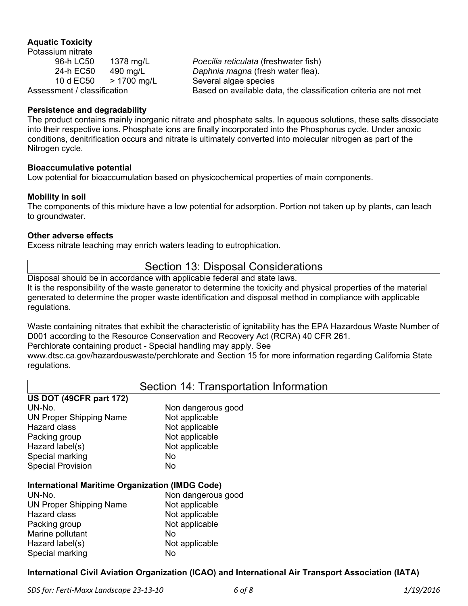#### **Aquatic Toxicity**

Potassium nitrate 10 d EC50 > 1700 mg/L Several algae species

96-h LC50 1378 mg/L *Poecilia reticulata* (freshwater fish) 24-h EC50 490 mg/L *Daphnia magna* (fresh water flea). Assessment / classification Based on available data, the classification criteria are not met

#### **Persistence and degradability**

The product contains mainly inorganic nitrate and phosphate salts. In aqueous solutions, these salts dissociate into their respective ions. Phosphate ions are finally incorporated into the Phosphorus cycle. Under anoxic conditions, denitrification occurs and nitrate is ultimately converted into molecular nitrogen as part of the Nitrogen cycle.

#### **Bioaccumulative potential**

Low potential for bioaccumulation based on physicochemical properties of main components.

#### **Mobility in soil**

The components of this mixture have a low potential for adsorption. Portion not taken up by plants, can leach to groundwater.

#### **Other adverse effects**

**US DOT (49CFR part 172)** 

Excess nitrate leaching may enrich waters leading to eutrophication.

### Section 13: Disposal Considerations

Disposal should be in accordance with applicable federal and state laws. It is the responsibility of the waste generator to determine the toxicity and physical properties of the material generated to determine the proper waste identification and disposal method in compliance with applicable regulations.

Waste containing nitrates that exhibit the characteristic of ignitability has the EPA Hazardous Waste Number of D001 according to the Resource Conservation and Recovery Act (RCRA) 40 CFR 261.

Perchlorate containing product - Special handling may apply. See

www.dtsc.ca.gov/hazardouswaste/perchlorate and Section 15 for more information regarding California State regulations.

### Section 14: Transportation Information

| 00 DOI 1700 I IN DUIN 1727                             |                    |
|--------------------------------------------------------|--------------------|
| UN-No.                                                 | Non dangerous good |
| <b>UN Proper Shipping Name</b>                         | Not applicable     |
| <b>Hazard class</b>                                    | Not applicable     |
| Packing group                                          | Not applicable     |
| Hazard label(s)                                        | Not applicable     |
| Special marking                                        | No                 |
| <b>Special Provision</b>                               | No                 |
| <b>International Maritime Organization (IMDG Code)</b> |                    |
| UN-No.                                                 | Non dangerous good |
| <b>UN Proper Shipping Name</b>                         | Not applicable     |
| <b>Hazard class</b>                                    | Not applicable     |
| Packing group                                          | Not applicable     |

#### **International Maritime Organization (IMDG Code)**  PRUIS UNUY

| UN-NU.                         | <u>INUITUAINTEIUUS YUUU</u> |
|--------------------------------|-----------------------------|
| <b>UN Proper Shipping Name</b> | Not applicable              |
| Hazard class                   | Not applicable              |
| Packing group                  | Not applicable              |
| Marine pollutant               | No                          |
| Hazard label(s)                | Not applicable              |
| Special marking                | No                          |
|                                |                             |

#### **International Civil Aviation Organization (ICAO) and International Air Transport Association (IATA)**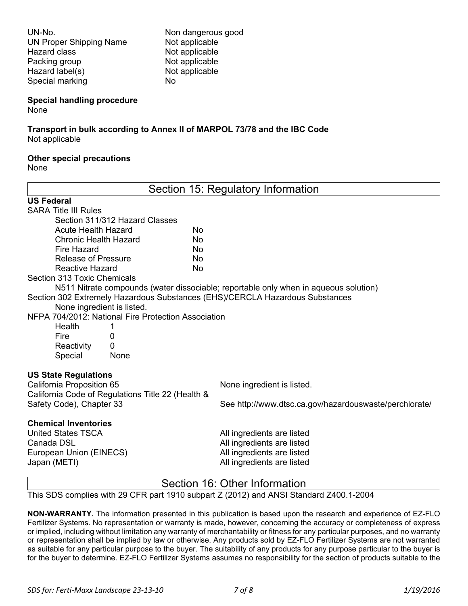UN-No. Non dangerous good UN Proper Shipping Name Not applicable Hazard class Not applicable Packing group Not applicable Hazard label(s) Not applicable Special marking No

#### **Special handling procedure**

None

# **Transport in bulk according to Annex II of MARPOL 73/78 and the IBC Code**

Not applicable

#### **Other special precautions**

None

| Section 15: Regulatory Information                                           |                                                                                      |
|------------------------------------------------------------------------------|--------------------------------------------------------------------------------------|
| <b>US Federal</b>                                                            |                                                                                      |
| <b>SARA Title III Rules</b>                                                  |                                                                                      |
| Section 311/312 Hazard Classes                                               |                                                                                      |
| <b>Acute Health Hazard</b><br>No                                             |                                                                                      |
| <b>Chronic Health Hazard</b><br>No                                           |                                                                                      |
| Fire Hazard<br>No                                                            |                                                                                      |
| <b>Release of Pressure</b><br>No                                             |                                                                                      |
| <b>Reactive Hazard</b><br><b>No</b>                                          |                                                                                      |
| Section 313 Toxic Chemicals                                                  |                                                                                      |
|                                                                              | N511 Nitrate compounds (water dissociable; reportable only when in aqueous solution) |
| Section 302 Extremely Hazardous Substances (EHS)/CERCLA Hazardous Substances |                                                                                      |
| None ingredient is listed.                                                   |                                                                                      |
| NFPA 704/2012: National Fire Protection Association                          |                                                                                      |
| Health<br>1                                                                  |                                                                                      |
| Fire<br>0                                                                    |                                                                                      |
| Reactivity<br>$\Omega$                                                       |                                                                                      |
| Special<br>None                                                              |                                                                                      |
| <b>US State Regulations</b>                                                  |                                                                                      |
| California Proposition 65                                                    | None ingredient is listed.                                                           |
| California Code of Regulations Title 22 (Health &                            |                                                                                      |
| Safety Code), Chapter 33                                                     | See http://www.dtsc.ca.gov/hazardouswaste/perchlorate/                               |
| <b>Chemical Inventories</b>                                                  |                                                                                      |
| <b>United States TSCA</b>                                                    | All ingredients are listed                                                           |
| Canada DSL                                                                   | All ingredients are listed                                                           |
| European Union (EINECS)                                                      | All ingredients are listed                                                           |
| Japan (METI)                                                                 | All ingredients are listed                                                           |
|                                                                              | Section 16: Other Information                                                        |

This SDS complies with 29 CFR part 1910 subpart Z (2012) and ANSI Standard Z400.1-2004

**NON-WARRANTY.** The information presented in this publication is based upon the research and experience of EZ-FLO Fertilizer Systems. No representation or warranty is made, however, concerning the accuracy or completeness of express or implied, including without limitation any warranty of merchantability or fitness for any particular purposes, and no warranty or representation shall be implied by law or otherwise. Any products sold by EZ-FLO Fertilizer Systems are not warranted as suitable for any particular purpose to the buyer. The suitability of any products for any purpose particular to the buyer is for the buyer to determine. EZ-FLO Fertilizer Systems assumes no responsibility for the section of products suitable to the